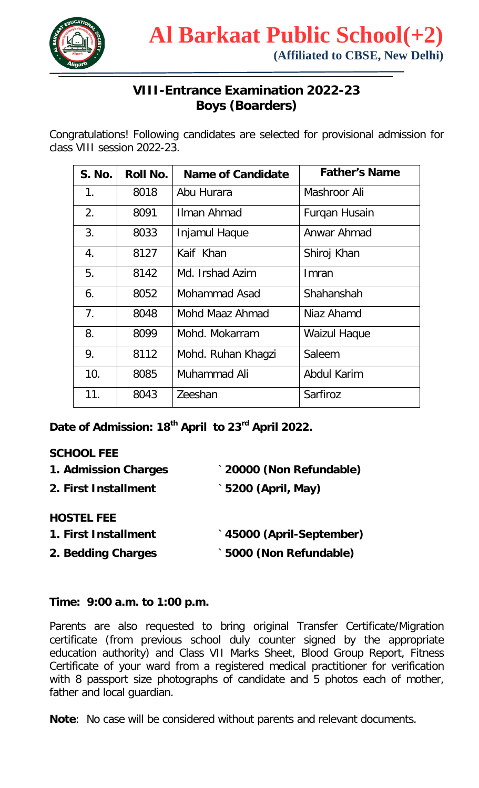

## **VIII-Entrance Examination 2022-23 Boys (Boarders)**

Congratulations! Following candidates are selected for provisional admission for class VIII session 2022-23.

| <b>S. No.</b>  | <b>Roll No.</b> | Name of Candidate  | <b>Father's Name</b> |
|----------------|-----------------|--------------------|----------------------|
| $1_{.}$        | 8018            | Abu Hurara         | Mashroor Ali         |
| 2.             | 8091            | Ilman Ahmad        | Furqan Husain        |
| 3.             | 8033            | Injamul Haque      | Anwar Ahmad          |
| 4.             | 8127            | Kaif Khan          | Shiroj Khan          |
| 5.             | 8142            | Md. Irshad Azim    | Imran                |
| 6.             | 8052            | Mohammad Asad      | Shahanshah           |
| 7 <sub>1</sub> | 8048            | Mohd Maaz Ahmad    | Niaz Ahamd           |
| 8.             | 8099            | Mohd. Mokarram     | <b>Waizul Haque</b>  |
| 9.             | 8112            | Mohd. Ruhan Khagzi | Saleem               |
| 10.            | 8085            | Muhammad Ali       | <b>Abdul Karim</b>   |
| 11.            | 8043            | Zeeshan            | Sarfiroz             |

**Date of Admission: 18th April to 23rd April 2022.**

## **SCHOOL FEE**

| 20000 (Non Refundable)               |
|--------------------------------------|
| `5200 (April, May)                   |
|                                      |
| <sup>*</sup> 45000 (April-September) |
| 5000 (Non Refundable)                |
|                                      |

## **Time: 9:00 a.m. to 1:00 p.m.**

Parents are also requested to bring original Transfer Certificate/Migration certificate (from previous school duly counter signed by the appropriate education authority) and Class VII Marks Sheet, Blood Group Report, Fitness Certificate of your ward from a registered medical practitioner for verification with 8 passport size photographs of candidate and 5 photos each of mother, father and local guardian.

**Note**: No case will be considered without parents and relevant documents.